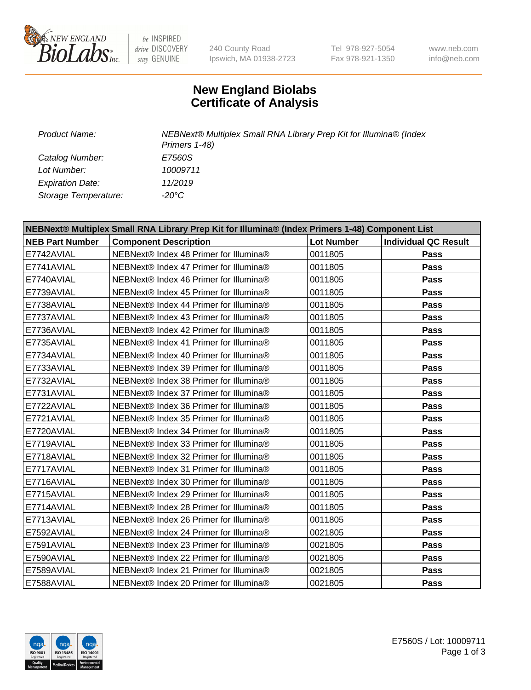

be INSPIRED drive DISCOVERY stay GENUINE

240 County Road Ipswich, MA 01938-2723 Tel 978-927-5054 Fax 978-921-1350

www.neb.com info@neb.com

## **New England Biolabs Certificate of Analysis**

*Catalog Number: E7560S Lot Number: 10009711 Expiration Date: 11/2019 Storage Temperature: -20°C*

*Product Name: NEBNext® Multiplex Small RNA Library Prep Kit for Illumina® (Index Primers 1-48)*

| NEBNext® Multiplex Small RNA Library Prep Kit for Illumina® (Index Primers 1-48) Component List |                                        |                   |                             |  |  |
|-------------------------------------------------------------------------------------------------|----------------------------------------|-------------------|-----------------------------|--|--|
| <b>NEB Part Number</b>                                                                          | <b>Component Description</b>           | <b>Lot Number</b> | <b>Individual QC Result</b> |  |  |
| E7742AVIAL                                                                                      | NEBNext® Index 48 Primer for Illumina® | 0011805           | Pass                        |  |  |
| E7741AVIAL                                                                                      | NEBNext® Index 47 Primer for Illumina® | 0011805           | Pass                        |  |  |
| E7740AVIAL                                                                                      | NEBNext® Index 46 Primer for Illumina® | 0011805           | Pass                        |  |  |
| E7739AVIAL                                                                                      | NEBNext® Index 45 Primer for Illumina® | 0011805           | Pass                        |  |  |
| E7738AVIAL                                                                                      | NEBNext® Index 44 Primer for Illumina® | 0011805           | Pass                        |  |  |
| E7737AVIAL                                                                                      | NEBNext® Index 43 Primer for Illumina® | 0011805           | Pass                        |  |  |
| E7736AVIAL                                                                                      | NEBNext® Index 42 Primer for Illumina® | 0011805           | <b>Pass</b>                 |  |  |
| E7735AVIAL                                                                                      | NEBNext® Index 41 Primer for Illumina® | 0011805           | Pass                        |  |  |
| E7734AVIAL                                                                                      | NEBNext® Index 40 Primer for Illumina® | 0011805           | Pass                        |  |  |
| E7733AVIAL                                                                                      | NEBNext® Index 39 Primer for Illumina® | 0011805           | <b>Pass</b>                 |  |  |
| E7732AVIAL                                                                                      | NEBNext® Index 38 Primer for Illumina® | 0011805           | Pass                        |  |  |
| E7731AVIAL                                                                                      | NEBNext® Index 37 Primer for Illumina® | 0011805           | Pass                        |  |  |
| E7722AVIAL                                                                                      | NEBNext® Index 36 Primer for Illumina® | 0011805           | Pass                        |  |  |
| E7721AVIAL                                                                                      | NEBNext® Index 35 Primer for Illumina® | 0011805           | Pass                        |  |  |
| E7720AVIAL                                                                                      | NEBNext® Index 34 Primer for Illumina® | 0011805           | <b>Pass</b>                 |  |  |
| E7719AVIAL                                                                                      | NEBNext® Index 33 Primer for Illumina® | 0011805           | Pass                        |  |  |
| E7718AVIAL                                                                                      | NEBNext® Index 32 Primer for Illumina® | 0011805           | Pass                        |  |  |
| E7717AVIAL                                                                                      | NEBNext® Index 31 Primer for Illumina® | 0011805           | Pass                        |  |  |
| E7716AVIAL                                                                                      | NEBNext® Index 30 Primer for Illumina® | 0011805           | Pass                        |  |  |
| E7715AVIAL                                                                                      | NEBNext® Index 29 Primer for Illumina® | 0011805           | <b>Pass</b>                 |  |  |
| E7714AVIAL                                                                                      | NEBNext® Index 28 Primer for Illumina® | 0011805           | Pass                        |  |  |
| E7713AVIAL                                                                                      | NEBNext® Index 26 Primer for Illumina® | 0011805           | Pass                        |  |  |
| E7592AVIAL                                                                                      | NEBNext® Index 24 Primer for Illumina® | 0021805           | Pass                        |  |  |
| E7591AVIAL                                                                                      | NEBNext® Index 23 Primer for Illumina® | 0021805           | <b>Pass</b>                 |  |  |
| E7590AVIAL                                                                                      | NEBNext® Index 22 Primer for Illumina® | 0021805           | Pass                        |  |  |
| E7589AVIAL                                                                                      | NEBNext® Index 21 Primer for Illumina® | 0021805           | Pass                        |  |  |
| E7588AVIAL                                                                                      | NEBNext® Index 20 Primer for Illumina® | 0021805           | <b>Pass</b>                 |  |  |

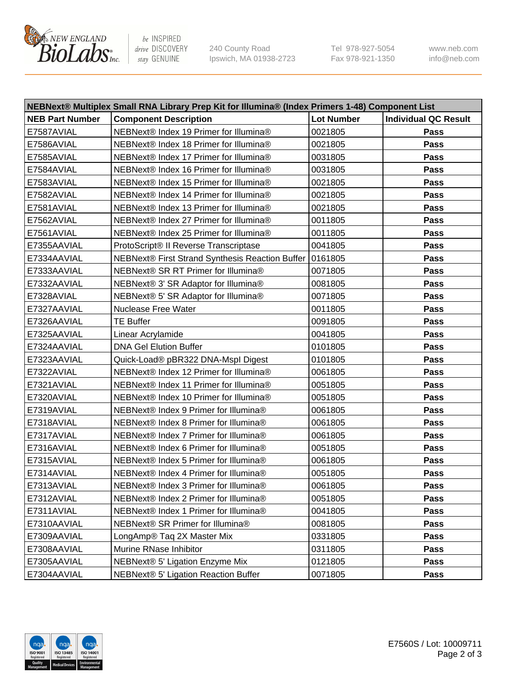

be INSPIRED drive DISCOVERY stay GENUINE

240 County Road Ipswich, MA 01938-2723 Tel 978-927-5054 Fax 978-921-1350 www.neb.com info@neb.com

| NEBNext® Multiplex Small RNA Library Prep Kit for Illumina® (Index Primers 1-48) Component List |                                                 |                   |                             |  |  |
|-------------------------------------------------------------------------------------------------|-------------------------------------------------|-------------------|-----------------------------|--|--|
| <b>NEB Part Number</b>                                                                          | <b>Component Description</b>                    | <b>Lot Number</b> | <b>Individual QC Result</b> |  |  |
| E7587AVIAL                                                                                      | NEBNext® Index 19 Primer for Illumina®          | 0021805           | Pass                        |  |  |
| E7586AVIAL                                                                                      | NEBNext® Index 18 Primer for Illumina®          | 0021805           | Pass                        |  |  |
| E7585AVIAL                                                                                      | NEBNext® Index 17 Primer for Illumina®          | 0031805           | Pass                        |  |  |
| E7584AVIAL                                                                                      | NEBNext® Index 16 Primer for Illumina®          | 0031805           | Pass                        |  |  |
| E7583AVIAL                                                                                      | NEBNext® Index 15 Primer for Illumina®          | 0021805           | Pass                        |  |  |
| E7582AVIAL                                                                                      | NEBNext® Index 14 Primer for Illumina®          | 0021805           | Pass                        |  |  |
| E7581AVIAL                                                                                      | NEBNext® Index 13 Primer for Illumina®          | 0021805           | Pass                        |  |  |
| E7562AVIAL                                                                                      | NEBNext® Index 27 Primer for Illumina®          | 0011805           | Pass                        |  |  |
| E7561AVIAL                                                                                      | NEBNext® Index 25 Primer for Illumina®          | 0011805           | Pass                        |  |  |
| E7355AAVIAL                                                                                     | ProtoScript® II Reverse Transcriptase           | 0041805           | Pass                        |  |  |
| E7334AAVIAL                                                                                     | NEBNext® First Strand Synthesis Reaction Buffer | 0161805           | Pass                        |  |  |
| E7333AAVIAL                                                                                     | NEBNext® SR RT Primer for Illumina®             | 0071805           | Pass                        |  |  |
| E7332AAVIAL                                                                                     | NEBNext® 3' SR Adaptor for Illumina®            | 0081805           | Pass                        |  |  |
| E7328AVIAL                                                                                      | NEBNext® 5' SR Adaptor for Illumina®            | 0071805           | Pass                        |  |  |
| E7327AAVIAL                                                                                     | <b>Nuclease Free Water</b>                      | 0011805           | Pass                        |  |  |
| E7326AAVIAL                                                                                     | <b>TE Buffer</b>                                | 0091805           | Pass                        |  |  |
| E7325AAVIAL                                                                                     | Linear Acrylamide                               | 0041805           | Pass                        |  |  |
| E7324AAVIAL                                                                                     | <b>DNA Gel Elution Buffer</b>                   | 0101805           | Pass                        |  |  |
| E7323AAVIAL                                                                                     | Quick-Load® pBR322 DNA-Mspl Digest              | 0101805           | <b>Pass</b>                 |  |  |
| E7322AVIAL                                                                                      | NEBNext® Index 12 Primer for Illumina®          | 0061805           | Pass                        |  |  |
| E7321AVIAL                                                                                      | NEBNext® Index 11 Primer for Illumina®          | 0051805           | <b>Pass</b>                 |  |  |
| E7320AVIAL                                                                                      | NEBNext® Index 10 Primer for Illumina®          | 0051805           | Pass                        |  |  |
| E7319AVIAL                                                                                      | NEBNext® Index 9 Primer for Illumina®           | 0061805           | Pass                        |  |  |
| E7318AVIAL                                                                                      | NEBNext® Index 8 Primer for Illumina®           | 0061805           | Pass                        |  |  |
| E7317AVIAL                                                                                      | NEBNext® Index 7 Primer for Illumina®           | 0061805           | Pass                        |  |  |
| E7316AVIAL                                                                                      | NEBNext® Index 6 Primer for Illumina®           | 0051805           | Pass                        |  |  |
| E7315AVIAL                                                                                      | NEBNext® Index 5 Primer for Illumina®           | 0061805           | Pass                        |  |  |
| E7314AVIAL                                                                                      | NEBNext® Index 4 Primer for Illumina®           | 0051805           | Pass                        |  |  |
| E7313AVIAL                                                                                      | NEBNext® Index 3 Primer for Illumina®           | 0061805           | Pass                        |  |  |
| E7312AVIAL                                                                                      | NEBNext® Index 2 Primer for Illumina®           | 0051805           | <b>Pass</b>                 |  |  |
| E7311AVIAL                                                                                      | NEBNext® Index 1 Primer for Illumina®           | 0041805           | Pass                        |  |  |
| E7310AAVIAL                                                                                     | NEBNext® SR Primer for Illumina®                | 0081805           | Pass                        |  |  |
| E7309AAVIAL                                                                                     | LongAmp® Taq 2X Master Mix                      | 0331805           | <b>Pass</b>                 |  |  |
| E7308AAVIAL                                                                                     | Murine RNase Inhibitor                          | 0311805           | Pass                        |  |  |
| E7305AAVIAL                                                                                     | NEBNext® 5' Ligation Enzyme Mix                 | 0121805           | Pass                        |  |  |
| E7304AAVIAL                                                                                     | NEBNext® 5' Ligation Reaction Buffer            | 0071805           | Pass                        |  |  |